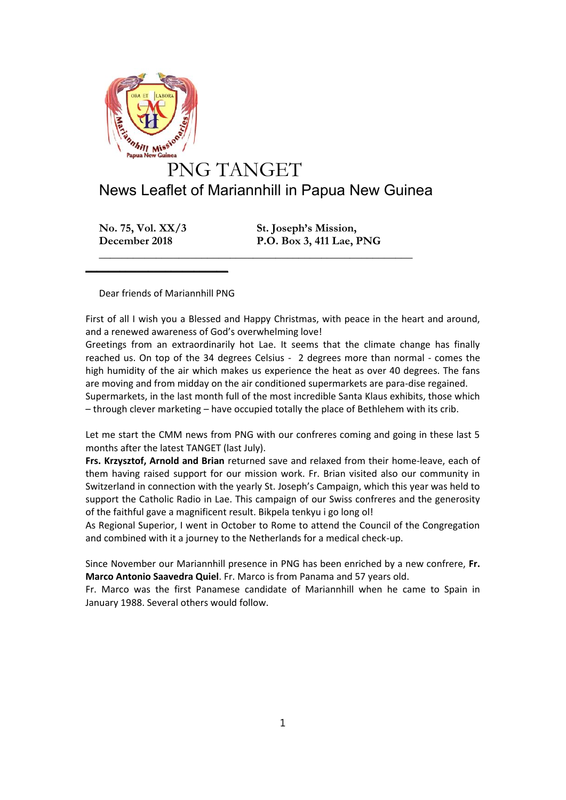

## News Leaflet of Mariannhill in Papua New Guinea

**No. 75, Vol. XX/3 St. Joseph's Mission, December 2018 P.O. Box 3, 411 Lae, PNG**

Dear friends of Mariannhill PNG

 $\frac{1}{2}$  , and the set of the set of the set of the set of the set of the set of the set of the set of the set of the set of the set of the set of the set of the set of the set of the set of the set of the set of the set

First of all I wish you a Blessed and Happy Christmas, with peace in the heart and around, and a renewed awareness of God's overwhelming love!

**\_\_\_\_\_\_\_\_\_\_\_\_\_\_\_\_\_\_\_\_\_\_\_\_\_\_\_\_\_\_\_\_\_\_\_\_\_\_\_\_\_\_\_\_\_\_\_\_\_\_\_\_\_\_\_**

Greetings from an extraordinarily hot Lae. It seems that the climate change has finally reached us. On top of the 34 degrees Celsius - 2 degrees more than normal - comes the high humidity of the air which makes us experience the heat as over 40 degrees. The fans are moving and from midday on the air conditioned supermarkets are para-dise regained. Supermarkets, in the last month full of the most incredible Santa Klaus exhibits, those which – through clever marketing – have occupied totally the place of Bethlehem with its crib.

Let me start the CMM news from PNG with our confreres coming and going in these last 5 months after the latest TANGET (last July).

**Frs. Krzysztof, Arnold and Brian** returned save and relaxed from their home-leave, each of them having raised support for our mission work. Fr. Brian visited also our community in Switzerland in connection with the yearly St. Joseph's Campaign, which this year was held to support the Catholic Radio in Lae. This campaign of our Swiss confreres and the generosity of the faithful gave a magnificent result. Bikpela tenkyu i go long ol!

As Regional Superior, I went in October to Rome to attend the Council of the Congregation and combined with it a journey to the Netherlands for a medical check-up.

Since November our Mariannhill presence in PNG has been enriched by a new confrere, **Fr. Marco Antonio Saavedra Quiel**. Fr. Marco is from Panama and 57 years old.

Fr. Marco was the first Panamese candidate of Mariannhill when he came to Spain in January 1988. Several others would follow.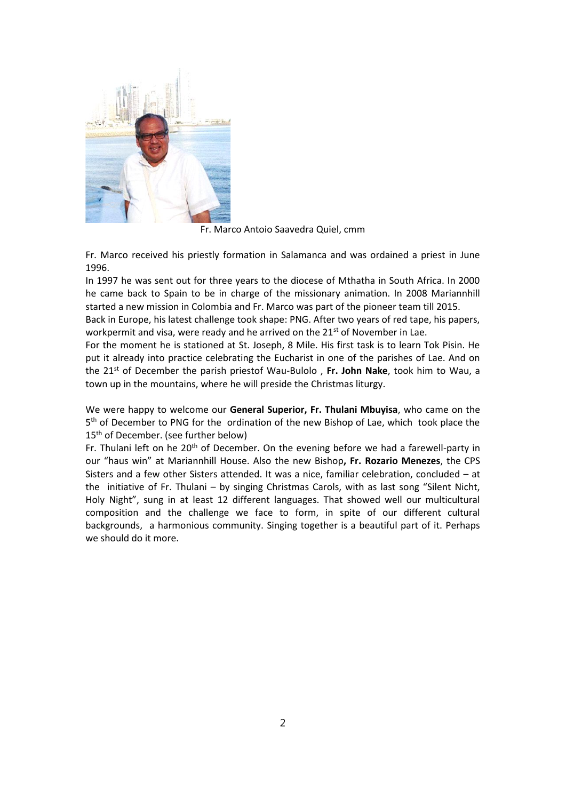

Fr. Marco Antoio Saavedra Quiel, cmm

Fr. Marco received his priestly formation in Salamanca and was ordained a priest in June 1996.

In 1997 he was sent out for three years to the diocese of Mthatha in South Africa. In 2000 he came back to Spain to be in charge of the missionary animation. In 2008 Mariannhill started a new mission in Colombia and Fr. Marco was part of the pioneer team till 2015.

Back in Europe, his latest challenge took shape: PNG. After two years of red tape, his papers, workpermit and visa, were ready and he arrived on the 21<sup>st</sup> of November in Lae.

For the moment he is stationed at St. Joseph, 8 Mile. His first task is to learn Tok Pisin. He put it already into practice celebrating the Eucharist in one of the parishes of Lae. And on the 21<sup>st</sup> of December the parish priestof Wau-Bulolo, Fr. John Nake, took him to Wau, a town up in the mountains, where he will preside the Christmas liturgy.

We were happy to welcome our **General Superior, Fr. Thulani Mbuyisa**, who came on the 5<sup>th</sup> of December to PNG for the ordination of the new Bishop of Lae, which took place the 15<sup>th</sup> of December. (see further below)

Fr. Thulani left on he 20<sup>th</sup> of December. On the evening before we had a farewell-party in our "haus win" at Mariannhill House. Also the new Bishop**, Fr. Rozario Menezes**, the CPS Sisters and a few other Sisters attended. It was a nice, familiar celebration, concluded – at the initiative of Fr. Thulani – by singing Christmas Carols, with as last song "Silent Nicht, Holy Night", sung in at least 12 different languages. That showed well our multicultural composition and the challenge we face to form, in spite of our different cultural backgrounds, a harmonious community. Singing together is a beautiful part of it. Perhaps we should do it more.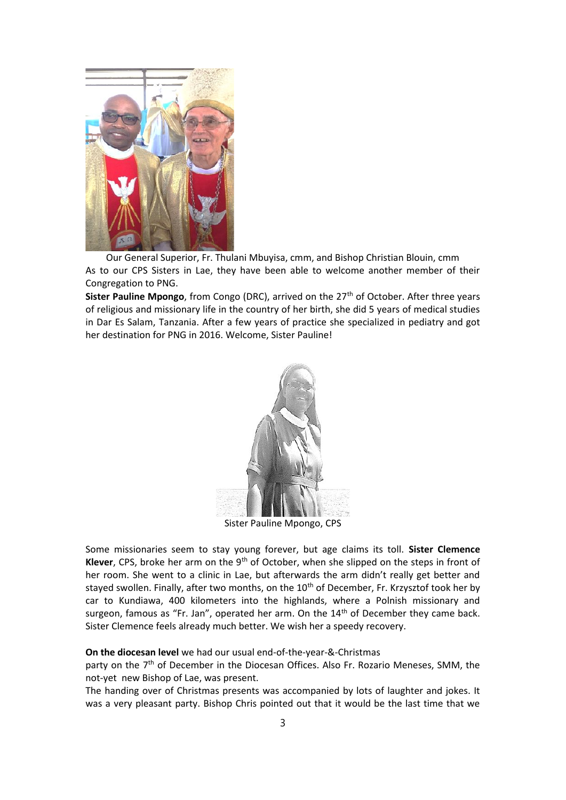

Our General Superior, Fr. Thulani Mbuyisa, cmm, and Bishop Christian Blouin, cmm As to our CPS Sisters in Lae, they have been able to welcome another member of their Congregation to PNG.

**Sister Pauline Mpongo**, from Congo (DRC), arrived on the 27<sup>th</sup> of October. After three years of religious and missionary life in the country of her birth, she did 5 years of medical studies in Dar Es Salam, Tanzania. After a few years of practice she specialized in pediatry and got her destination for PNG in 2016. Welcome, Sister Pauline!



Sister Pauline Mpongo, CPS

Some missionaries seem to stay young forever, but age claims its toll. **Sister Clemence** Klever, CPS, broke her arm on the 9<sup>th</sup> of October, when she slipped on the steps in front of her room. She went to a clinic in Lae, but afterwards the arm didn't really get better and stayed swollen. Finally, after two months, on the 10<sup>th</sup> of December, Fr. Krzysztof took her by car to Kundiawa, 400 kilometers into the highlands, where a Polnish missionary and surgeon, famous as "Fr. Jan", operated her arm. On the 14<sup>th</sup> of December they came back. Sister Clemence feels already much better. We wish her a speedy recovery.

## **On the diocesan level** we had our usual end-of-the-year-&-Christmas

party on the  $7<sup>th</sup>$  of December in the Diocesan Offices. Also Fr. Rozario Meneses, SMM, the not-yet new Bishop of Lae, was present.

The handing over of Christmas presents was accompanied by lots of laughter and jokes. It was a very pleasant party. Bishop Chris pointed out that it would be the last time that we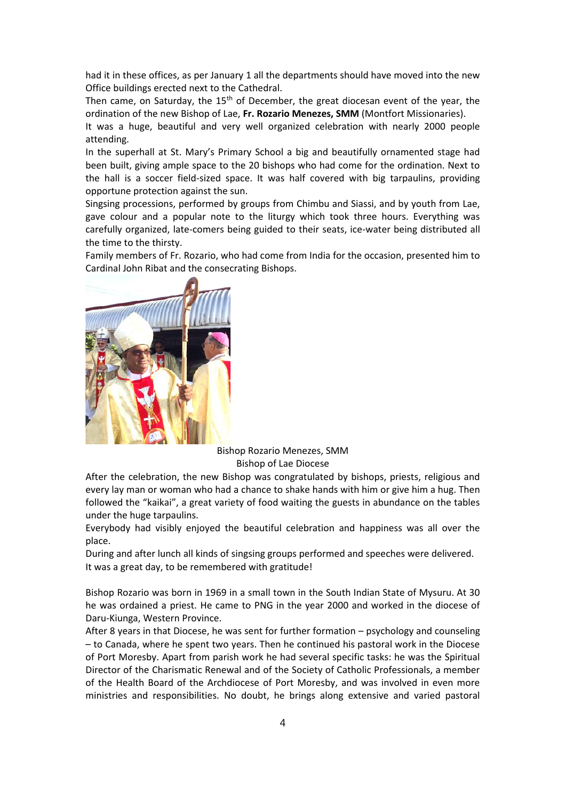had it in these offices, as per January 1 all the departments should have moved into the new Office buildings erected next to the Cathedral.

Then came, on Saturday, the  $15<sup>th</sup>$  of December, the great diocesan event of the year, the ordination of the new Bishop of Lae, **Fr. Rozario Menezes, SMM** (Montfort Missionaries).

It was a huge, beautiful and very well organized celebration with nearly 2000 people attending.

In the superhall at St. Mary's Primary School a big and beautifully ornamented stage had been built, giving ample space to the 20 bishops who had come for the ordination. Next to the hall is a soccer field-sized space. It was half covered with big tarpaulins, providing opportune protection against the sun.

Singsing processions, performed by groups from Chimbu and Siassi, and by youth from Lae, gave colour and a popular note to the liturgy which took three hours. Everything was carefully organized, late-comers being guided to their seats, ice-water being distributed all the time to the thirsty.

Family members of Fr. Rozario, who had come from India for the occasion, presented him to Cardinal John Ribat and the consecrating Bishops.



Bishop Rozario Menezes, SMM Bishop of Lae Diocese

After the celebration, the new Bishop was congratulated by bishops, priests, religious and every lay man or woman who had a chance to shake hands with him or give him a hug. Then followed the "kaikai", a great variety of food waiting the guests in abundance on the tables under the huge tarpaulins.

Everybody had visibly enjoyed the beautiful celebration and happiness was all over the place.

During and after lunch all kinds of singsing groups performed and speeches were delivered. It was a great day, to be remembered with gratitude!

Bishop Rozario was born in 1969 in a small town in the South Indian State of Mysuru. At 30 he was ordained a priest. He came to PNG in the year 2000 and worked in the diocese of Daru-Kiunga, Western Province.

After 8 years in that Diocese, he was sent for further formation – psychology and counseling – to Canada, where he spent two years. Then he continued his pastoral work in the Diocese of Port Moresby. Apart from parish work he had several specific tasks: he was the Spiritual Director of the Charismatic Renewal and of the Society of Catholic Professionals, a member of the Health Board of the Archdiocese of Port Moresby, and was involved in even more ministries and responsibilities. No doubt, he brings along extensive and varied pastoral